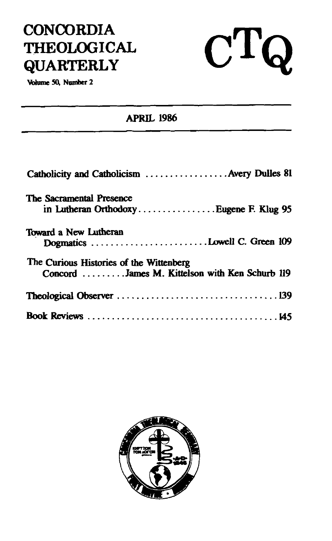# **CONCORDIA THEOLOGICAL QUARTERLY**

Volume 50, Number 2

### **APRIL 1986**

 $C T Q$ 

| Catholicity and Catholicism  Avery Dulles 81                                              |
|-------------------------------------------------------------------------------------------|
| The Sacramental Presence<br>in Lutheran OrthodoxyEugene F. Klug 95                        |
| Toward a New Lutheran<br>Dogmatics Lowell C. Green 109                                    |
| The Curious Histories of the Wittenberg<br>Concord James M. Kittelson with Ken Schurb 119 |
|                                                                                           |
|                                                                                           |

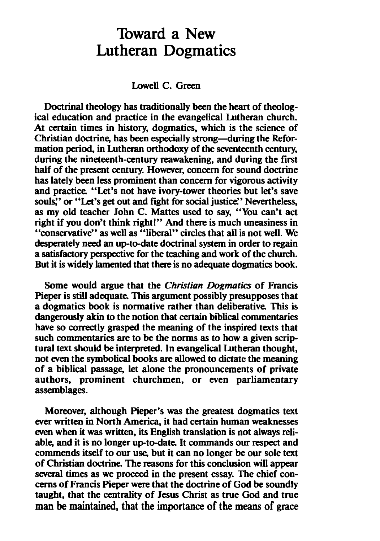## Toward a New Lutheran Dogmatics

Lowell C. Green

Doctrinal theology has traditionally been the heart of theological education and practice in the evangelical Lutheran church. Christian doctrine, has been especially strong—during the Reformation period, in Lutheran orthodoxy of the seventeenth century, during the nineteenth-century reawakening, and during the first half of the present century. However, concern for sound doctrine has lately been less prominent than concern for vigorous activity and practice. "Let's not have ivory-tower theories but let's save souls." or "Let's get out and fight for social justice." Nevertheless, as my old teacher John C. Mattes used to say, "You can't act right if you don't think right!" And there is much uneasiness in "conservative" as well as "liberal" circles that all is not well. We desperately need an up-to-date doctrinal system in order to regain a satisfactory perspective for the teaching and work of the church. But it is widely lamented that there is no adequate dogmatics book.

Some would argue that the *Christian Dogmatics* of Francis Pieper is still adequate. This argument possibly presupposes that a dogmatics book is normative rather than deliberative. This is dangerously akin to the notion that certain biblical commentaries have so correctly grasped the meaning of the inspired texts that such commentaries **are** to be the norms as to how a given scrip tural text should be interpreted. In evangelical Lutheran thought, not **even** the symbolicaI books **are** allowed to dictate the meaning of a biblical passage, let alone the pronouncements of private authors, prominent churchmen, or even parliamentary assemblages.

Moreover, although Pieper's was the greatest dogmatics text ever written in North America, it had certain human weaknesses **even** when it was written, its English translation is not always reliable, and it is no longer up-to-date. It commands our respect and commends itself to our use, but it can no longer be our sole text of Christian doctrine The **reasons** for this conclusion will appear several times as we proceed in the present essay. The chief con**cerns** of Francis Pieper were that the doctrine of God be soundly taught, that the centrality of Jesus Christ as true God and true man be maintained, that the importance of the **means** of **grace**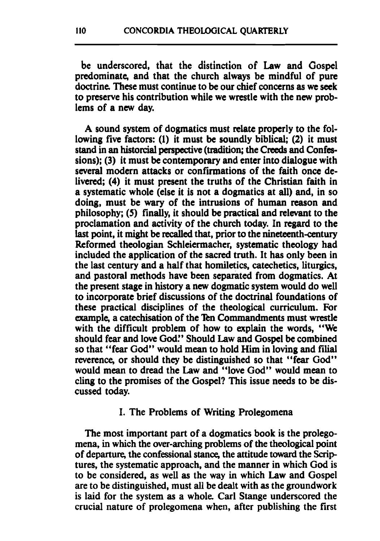be underscored, that the distinction of Law and Gospel predominate, and that the church always be mindful of pure doctrine. These must continue to be our chief concerns as **we** seek to preserve his contribution while we wrestle with the new problems of a new day.

**A** sound system of dogmatics must relate properly to the following five factors: (1) it must be soundly biblical; (2) it must stand in an historcial perspective (tradition; the Creeds and Confessions); (3) it must be contemporary and enter into dialogue with several modern attacks or confirmations of the faith once delivered: (4) it must present the truths of the Christian faith in a systematic whole (else it is not a dogmatics at all) and, in so doing, must be **wary** of the intrusions of human reason and philosophy; (5) finally, it should be practical and relevant to the proclamation and activity of the church today. In regard to the last point, it might be recalled that, prior to the nineteenth-century Reformed theologian Schleiermacher, systematic theology had included the application of the sacred truth. It has only been in the last century and a half that homiletics, catechetics, liturgics, and pastoral methods have been separated from dogmatics. At the present stage in history a new dogmatic system would do well to incorporate brief discussions of the doctrinal foundations of these practical disciplines of the theological curriculum. For example, a catechisation of the Ten Commandments must wrestle with the difficult problem of how to explain the words, "We should fear and love God!' Should Law and Gospel be combined so that "fear God" would mean to hold Him in loving and filial reverence, or should they be distinguished so that "fear God" would mean to dread the Law and "love God" would mean to cling to the promises of the Gospel? This issue needs to be discussed today.

#### I. The Problems of Writing Prolegomena

The most important part of a dogmatics book is the prolegomena, in which the over-arching problems of the theological point of departure, the confessional stance, the attitude toward the Scrip tures, the systematic approach, and the manner in which God is to be considered, as well as the way in which Law and Gospel are to be distinguished, must all be dealt with as the groundwork is laid for the system as a whole. Carl Stange underscored the crucial nature of prolegomena when, after publishing the first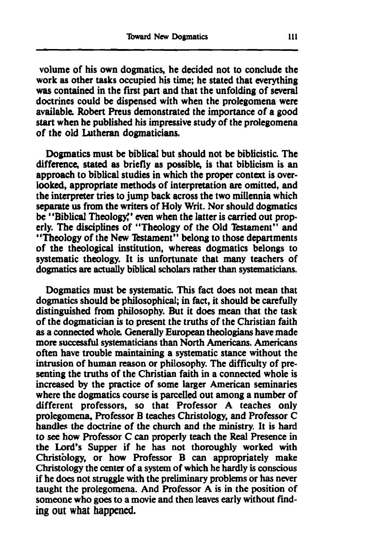volume of his own dogmatics, he decided not to conclude the work as other tasks occupied his time; he stated that everything **was** contained in the first part and that the unfolding of **several**  doctrines could **be** dispensed with when the prolegomena were available. Robert Preus demonstrated the importance of a good start when he published his impressive study of the prolegomena of the old Lutheran dogmaticians.

Dogmatics must be biblical but should not **be** biblicistic. The difference, stated as briefly as possible, is that biblicism is an approach to biblical studies in which the proper context is overlooked, appropriate methods of interpretation **are** omitted, and the interpreter tries to jump back across the two millennia which **separate** us from the writers of Holy Writ. Nor should dogmatics be "Biblical Theology" even when the latter is carried out properly. The disciplines of "Theology of the Old Testament" and "Theology of the New Testament" belong to those departments of the theological institution, whereas dogmatics belongs to systematic theology. It is unfortunate that many teachers of dogmatics are actually biblical scholars rather than systematicians.

Dogmatics must **be** systematic. This fact does not mean that dogmatics should **be** philosophical, in fact, it should **be** carefully distinguished from philosophy. But it does mean that the **task**  of the dogmatician is to present the truths of the Christian faith as a connected whole. Generally European theologians have made more successful systematicians than North Americans. Americans often have trouble maintaining a systematic stance without the intrusion of human reason or philosophy. The difficulty of presenting the truths of the Christian faith in a connected whole is increased by the practice of some larger American seminaries where the dogmatics course is parcelled out among a number of different professors, so that Professor A teaches only prolegomena, Professor B teaches Christology, and Professor C handles the doctrine of the church and the ministry. It is hard to **see** how Professor C can properly teach the Real Presence in the Lord's Supper if he has not thoroughly worked with Christology, or how Professor B can appropriately make Christology the center of a system of which he hardly is conscious if he does not struggle with the preliminary problems or has never taught the prolegomena. And Professor A is in the position of someone who goes to a movie and then leaves early without find**ing** out what **happened.**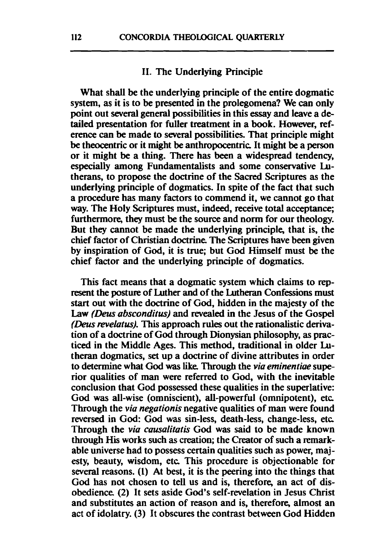#### 11. The Underlying Principle

What shall be the underlying principle of the entire dogmatic system, as it is to be presented in the prolegomena? We can only point out several general possibilities in this essay and leave a detailed presentation for fuller treatment in a book. However, reference can be made to several possibilities. That principle might be theocentric or it might be anthropocentric It might be a person or it might be a thing. There has been a widespread tendency, especially among Fundamentalists and some conservative Lutherans, to propose the doctrine of the Sacred Scriptures as the underlying principle of dogmatics. In spite of the fact that such a procedure has many factors to commend it, we cannot go that way. The Holy Scriptures must, indeed, receive total acceptance; furthermore, they must be the source and norm for our theology. But they cannot be made the underlying principle, that is, the chief factor of Christian doctrine. The Scriptures have been given by inspiration of God, it is true; but God Himself must be the chief factor and the underlying principle of dogmatics.

This fact means that a dogmatic system which claims to represent the posture of Luther and of the Lutheran Confessions must start out with the doctrine of God, hidden in the majesty of the Law *(Deus absconditus)* and revealed in the Jesus of the Gospel *(Dew* **revelatus).** This approach **rules** out the rationalistic derivation of a doctrine of God through Dionysian philosophy, as practiced in the Middle Ages. This method, traditional in older Lutheran dogmatics, set up a doctrine of divine attributes in order to determine what **God was like** Through the **via eminentiae** superior qualities of man were referred to God, with the inevitable conclusion that God possessed these qualities in the superlative: God **was** all-wise (omniscient), all-powerful (omnipotent), etc Through the **via negationis** negative qualities of man were found reversed in God: God was sin-less, death-less, change-less, etc Through the **via causalitatis** God was said to be made known through His works such **as** creation; the Creator of such a remarkable universe had to possess certain qualities such **as** power, majesty, beauty, wisdom, etc This procedure is objectionable for several reasons. (1) At best, it is the peering into the things that God has not chosen to tell us and is, therefore, an act of disobedience. (2) It sets aside God's self-revelation in Jesus Christ and substitutes an action of reason and is, therefore, almost an act of idolatry. (3) It obscures the contrast between God Hidden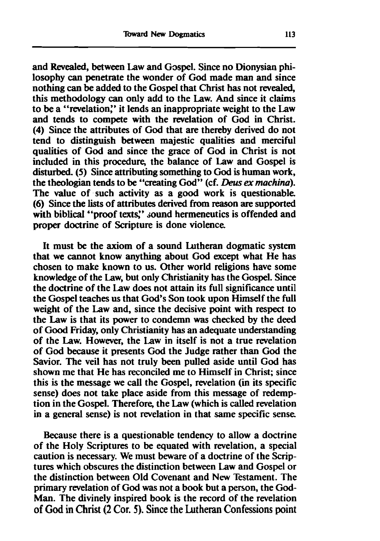and Revealed, between Law and Gospel. Since no Dionysian philosophy **can** penetrate the wonder of God made **man** and since nothing **can** be added to the Gospel that Christ has not revealed, this methodology **can** only add to the Law. And since it claims to be a "revelation:' it lends an inappropriate weight to the Law and tends to compete with the revelation of God in Christ. (4) Since the attributes of God that are thereby derived do not tend to distinguish between majestic qualities and merciful qualities of God and since the grace of God in Christ is not included in this procedure, the balance of Law and Gospel is disturbed. (5) Since attributing something to God is human work, the theologian tends to be "creating God" (cf. *Deus ex machina*). The value of such activity as a good work is questionable. (6) Since the lists of attributes derived from reason are supported with biblical "proof texts." sound hermeneutics is offended and proper doctrine of Scripture is done violence

It must be the axiom of a sound Lutheran dogmatic system that we cannot know anything about God except what He has chosen to make known to us. Other world religions have some knowledge of the Law, but only Christianity has the Gospel. Since the doctrine of the Law does not attain its full significance until the Gospel teaches us that God's Son took upon Himself the full weight of the Law and, since the decisive point with **respect** to the Law is that its power to condemn **was** checked by the deed of **Good** Friday, only Christianity has an adequate understanding of the **Law.** However, the Law in itself is not a true revelation of God because it presents God the Judge rather than God the Savior. The veil has not truly been pulled aside until God has shown me that He has reconciled me to Himself in Christ; since this is the message we call the Gospel, revelation (in its specific sense) does not take place aside from this message of redemption in the Gospel. Therefore, the Law (which is called revelation in a general sense) is not revelation in that same specific sense.

Because there is a questionable tendency to allow a doctrine of the Holy Scriptures to be equated with revelation, a special caution is necessary. We must beware of a doctrine of the Scriptures which obscures the distinction between Law and Gospel or the distinction between Old Covenant and New Testament. The primary revelation of God was not a book but a person, the God-Man. The divinely inspired book is the record of the revelation of God in Christ (2 Cor. 5). Since the Lutheran Confessions point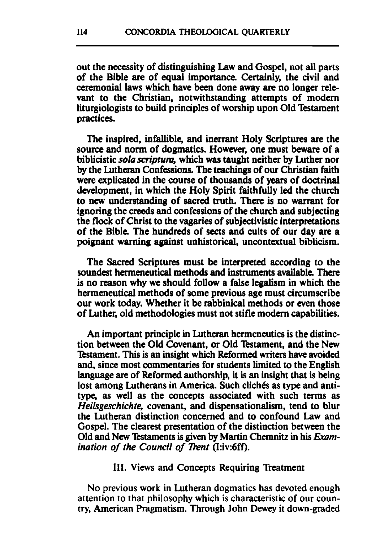out the necessity of distinguishing Law and Gospel, not **all** parts of the Bible **are** of equal importance Certainly, the civil and ceremonial laws which have **been** done away **are** no longer relevant to the Christian, notwithstanding attempts of modem liturgiologists to build principles of worship upon Old Testament practices.

The inspired, infallible, and inerrant Holy Scriptures **are** the source and norm of dogmatics. However, one must beware of a biblicistic *sola scripfum,* which *was* taught neither by Luther nor by the **Lutheran** Confessions. The teachings of our Christian faith were explicated in the course of thousands of years of doctrinal development, in which the Holy Spirit faithfully led the church to new understanding of sacred truth. There is no warrant for ignoring the creeds and confessions of the church and subjecting the flock of Christ to the vagaries of subjectivistic interpretations of the Bible The hundreds of sects and cults of our day are a poignant warning against unhistorical, uncontextual biblicism.

The Sacred Scriptures must be interpreted according to the soundest hermeneutical methods and instruments available There is no reason why we should follow a false legalism in which the hermeneutical methods of some previous age must circumscribe our work today. Whether it be rabbinical methods or even those of Luther, old methodologies must not stifle modern capabilities.

An important principle in Lutheran hermeneutics is the distinction between the Old Covenant, or Old Testament, and the New Estament. This is an insight which Reformed writers have avoided and, since most commentaries for students limited to the English language **are** of Reformed authorship, it is an insight that is being lost among Lutherans in America. Such clichés as type and antitype, as well as the concepts associated with such terms as *Heikgeschichte,* covenant, and dispensationalism, tend to blur the Lutheran distinction concerned and to confound Law and Gospel. The clearest presentation of the distinction between the Old and New Testaments is given by Martin Chemnitz in his *Examination of the Council of Trent (I:iv:6ff).* 

#### 111. Views and Concepts Requiring Treatment

No previous work in Lutheran dogmatics has devoted enough attention to that philosophy which is characteristic of our country, American Pragmatism. Through John Dewey it down-graded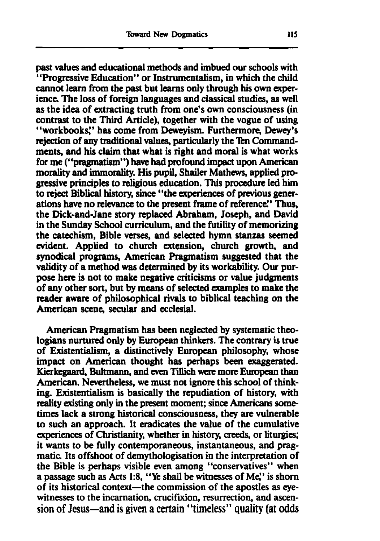past values and educational methods and imbued our schools with "Progressive Education" or Instrumentalism, in which the child cannot learn from the past but learns only through his own **exper**ience The loss of foreign languages and classical studies, as well as the idea of extracting truth from one's own consciousness (in contrast to the Third Article), together with the vogue of using "workbooks'' has come from Deweyism. Furthermore, Dewey's rejection of any traditional values, particularly the Ten Commandments, and his claim that what is right and moral is what works for me ("pragmatism") **have** had profound impact upon **American**  morality and immorality. His pupil, Shailer Mathews, applied progressive principles to religious education. This procedure led him to reject Biblical history, since "the **experiences** of previous generations have no relevance to the present frame of reference.' Thus, the Dick-and-Jane story replaced Abraham, Joseph, and David in the Sunday School curriculum, and the futility of memorizing the catechism, Bible verses, and selected hymn stanzas seemed evident. Applied to church extension, church growth, and synodical programs, American Pragmatism suggested that the validity of a method **was** determined **by** its workability. Our purpose here is not to **make** negative criticisms or value judgments of any other sort, but **by** means of selected examples to make the reader aware of philosophical rivals to biblical teaching on the American **scene,** secular and ecclesial.

American Pragmatism has been neglected by systematic theologians nurtured only **by** European thinkers. The contrary is true of Existentialism, a distinctively European philosophy, whose impact on American thought has perhaps been exaggerated. Kierkegaard, Bultmann, and even Tillich were more European than American. Nevertheless, we must not ignore this school of thinking. Existentialism is basically the repudiation of history, with reality **atisting** only in the present moment; **sine** Americans **some**times lack a strong historical consciousness, they **are** vulnerable to such an approach. It eradicates the value of the cumulative experiences of Christianity, whether in history, creeds, or liturgies; it wants to be fully contemporaneous, instantaneous, and pragmatic Its offshoot of demythologisation in the interpretation of the Bible is perhaps visible even among "conservatives" when a passage such **as** Acts **1:8,** "Ye shall be witnesses of **Me'** is shorn of its historical context-the commission of the apostles **as** eye**witnesses** to the incarnation, crucifixion, resurrection, and ascension of Jesus-and is given a certain "timeless" quality (at odds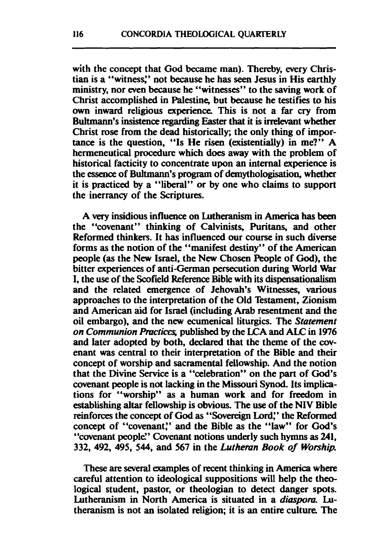with the concept that God became man). Thereby, every Christian is a "witnesg' not because he has seen Jesus in His earthly ministry, nor even because he "witnesses" to the saving work of Christ accomplished in Palestine, but because he testifies to his own inward religious experience. This is not a far cry from Bultmann's insistence regarding Easter that it is irrelevant whether Christ rose from the dead historically; the only thing of importance is the question, "Is He risen (existentially) in me?" A hermeneutical procedure which does away with the problem of historical facticity to concentrate upon an internal experience is the essence of Bultmann's program of demythologisation, whether it is practiced by a "liberal" or by one who claims to support the inerrancy of the Scriptures.

A **very** insidious influence on Lutheranism in **America** has **been**  the "covenant" thinking of Calvinists, Puritans, and other Reformed thinkers. It has influenced our course in such diverse forms as the notion of the "manifest destiny'' of the American people (as the New Israel, the New Chosen People of God), the bitter experiences of anti-German persecution during World War I, the **use** of the Scofield Reference Bible with its dispensationalism and the related emergence of Jehovah's Witnesses, various approaches to the interpretation of the Old Testament, Zionism and American aid for Israel (including Arab resentment and the oil embargo), and the new ecumenical liturgics. The *Statement on Communion Practices, published by the LCA and ALC in 1976* and later adopted by both, declared that the theme of the covenant **was** central to their interpretation of the Bible and their concept of worship and sacramental fellowship. And the notion that the Divine Service is a "celebration" on the part of God's covenant people is **not** lacking in the Missouri **Synod.** Its implications for "worship" as a human work and for freedom in establishing altar fellowship is obvious. The **use** of the NIV Bible reinforces the concept of God as "Sovereign Lord:' the Reformed concept of "covenant," and the Bible as the "law" for God's "covenant people." Covenant notions underly such hymns as 241, 332, 492, 495, 544, and 567 in the *Luthemn Book of Worship.* 

**These** are several examples of recent thinking in **America** where careful attention to ideological suppositions will help the theological student, pastor, or theologian to detect danger spots. Lutheranism in North America is situated in a *diaspora*. Lutheranism is not an isolated religion; it is an entire culture. The